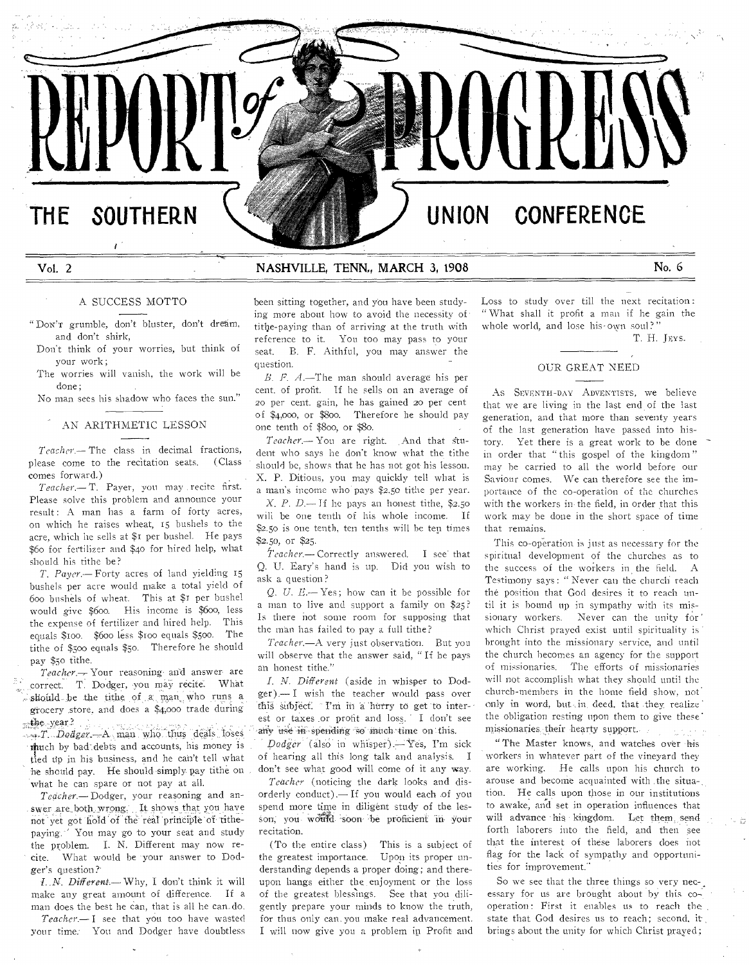# **THE SOUTHERN UNION CONFERENCE**

# Vol. 2 NASHVILLE, TENN,, MARCH 3, 1908 No. 6

# A SUCCESS MOTTO

"DON'T grumble, don't bluster, don't dream, and don't shirk,

Don't think of your worries, but think of your work;

The worries will vanish, the work will be done;

No man sees his shadow who faces the sun."

# AN ARITHMETIC LESSON

*Teacher.—The* class in decimal fractions, please come to the recitation seats. (Class comes forward.)

*Teacher.—T.* Payer, you may recite first. Please solve this problem and announce your result: A man has a farm of forty acres, on which he raises wheat, 15 bushels to the acre, which he sells at \$1 per bushel. He pays \$6o for fertilizer and \$4o for hired help, what should his tithe be?

*T. Payer.—* Forty acres of land yielding 15 bushels per acre would make a total yield of 600 bushels of wheat. This at \$i per bushel would give \$600. His income is \$600, less the expense of fertilizer and hired help. This equals \$xoo. \$600 less \$too equals \$5oo. The tithe of \$500 equals \$50. Therefore he should pay \$50 tithe.

*Teacher.--.* Your reasoning• and answer are correct. T. Dodger, you may recite. What should be the tithe of a man who runs a grocery store, and does a \$4,000 trade during the year?

*44g.T. Dodger* A man who thus deals loses itiuch by bad-debts and accounts, his money is tied up in his business, and he can't tell what he should pay. He should simply pay tithe on what he can spare or not pay at all.

*Teacher.—Dodger,* your reasoning and answer are both wrong. It shows that you have not yet got hold of the real principle of tithepaying. 'You may go to your seat and study the problem. I. N. Different may now recite. What would be your answer to Dodger's question?'

*f..N. Different.—Why,* I don't think it will make any great amount of difference. If a man does the best he can, that is all he can. do.

*Teacher.—I* see that you too have wasted your time. You and Dodger have doubtless been sitting together, and you have been studying more about how to avoid the necessity of title-paying than of arriving at the truth with reference to it. You too may pass to your seat. B. F. Aithful, you may answer the question.

*B. P. A.—The* man should average his per cent. of profit. If he sells on an average of 20 per cent. gain, he has gained 20 per cent of \$4,000, or \$800. Therefore he should pay one tenth of \$800, or \$80.

 $Teacher$ . You are right. And that student who says he don't know what the tithe should be, shows that he has not got- his lesson. X. P. Ditious, you may quickly tell what is a man's income who pays \$2.50 tithe per year.

*X. P. D.— if* he pays an honest tithe, \$2.50 will be one tenth of his whole income. If \$2.50 is one tenth, ten tenths will he ten times \$2.50, or \$25.

 $Tearner$  Correctly answered. I see that Q. U. Eary's hand is up. Did you wish to ask a question?

*Q. U. E.—Yes;* how can it be possible for a man to live and support a family on \$25? Is there not some room for supposing that the man has failed to pay a full tithe?

*Teacher.—A* very just observation. But you will observe that the answer said, " If he pays an honest tithe."

*I. N. Different* (aside in whisper to Dodger).— I wish the teacher would 'pass over this subject. I'm in a hurry to get to interest or taxes or profit and loss. I don't see any use in spending so much time on this.

*Dodger* (also in whisper). Yes, I'm sick of hearing all this long talk and analysis. I don't see what good will come of it any way.

*Teacher* (noticing the dark looks and disorderly conduct).— If you would each of you spend more time in diligent study of the lesson; you would soon be proficient in your recitation.

(To the entire class) This is a subiect of the greatest importance. Upon its proper understanding depends a proper doing; and thereupon hangs either the enjoyment or the loss of the greatest blessings. See that you diligently prepare your minds to know the truth, for thus only can. you make real advancement. I will now give you a problem in Profit and

Loss to study over till the next recitation : " What shall it profit a man if he gain the whole world, and lose his-own soul?"

T. H. JEvs.

## OUR GREAT NEED

As SEVENTH-DAY ADVENTISTS, we believe that we are living in the last end of the last generation, and that more than seventy years of the last generation have passed into history. Yet there is a great work to be done in order that " this gospel of the kingdom" may be carried to all the world before our Saviour comes. We can therefore see the importance of the co-operation of the churches with the workers in- the field, in order that this work may be done in the short space of time that remains.

This co-operation is just as necessary for the spiritual development of the churches as to the success of the workers in the field. A Testimony says : " Never can the church reach the position that God desires it to reach until it is bound up in sympathy with its missionary workers. Never can the unity for which Christ prayed exist until spirituality is brought into the missionary service, and until the church becomes an agency for the support of missionaries. The efforts of missionaries will not accomplish what they should until the church-members in the home field show, not. only in word, but in deed, that they realize the obligation resting upon them to give these' missionaries their hearty support.

"The Master knows, and watches over his workers in whatever part of the vineyard they are working. He calls upon his church to arouse and become acquainted' with .the situa-, tion. He calls upon those in our institutions to awake, and set in operation influences that will advance his kingdom. Let them send forth laborers into the field, and then see that the interest of these laborers does not flag for the lack of sympathy and opportunities for improvement."

So we see that the three things so very necessary for us are brought about by this  $\cos$ operation: First it enables us to reach the state that God desires us to reach; second, it , brings about the unity for which Christ prayed;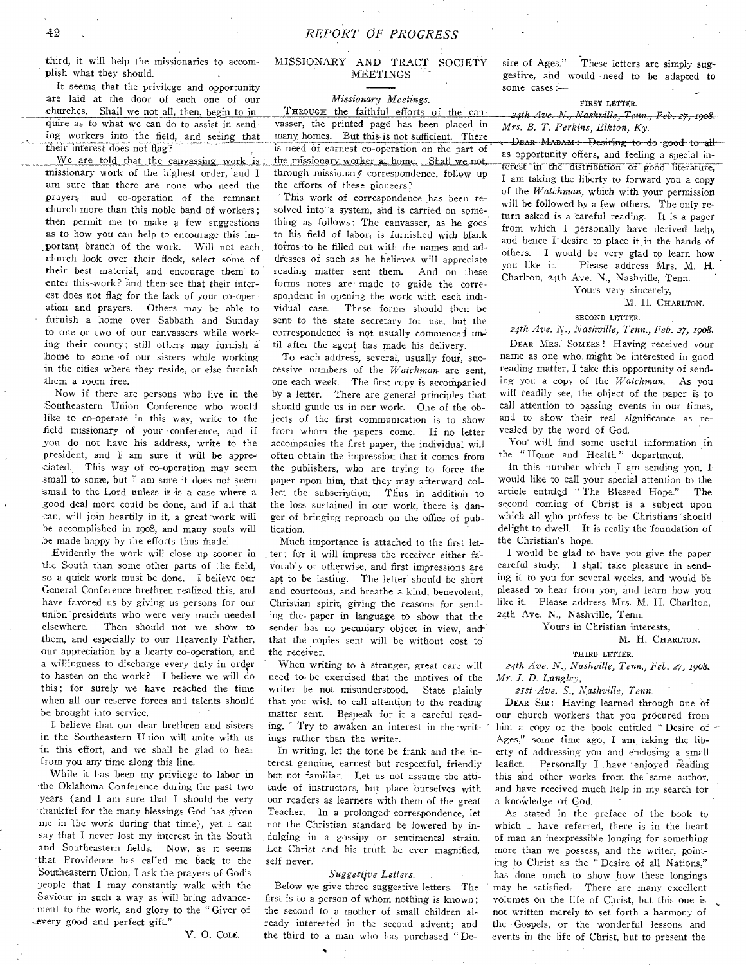third, it will help the missionaries to accomplish what they should.

It seems that the privilege and opportunity are laid at the door of each one of our *Missionary Meetings.*  churches. Shall we not all, then, begin to in-<br>quire as to what we can do to assist in send-<br>vasser, the printed page has been placed in Mrs B T Perting Fleton K. ing workers into the field, and seeing that their interest does not flag?

missionary work of the highest order, and 1 am sure that there are none who need the prayers and co-operation of the remnant church more than this noble band of workers; then permit me to make a few suggestions as to how you can help to encourage this important branch of the work. Will not each. church look over their flock, select some of their best material, and encourage them to enter this-work? and then see that their interest does not flag for the lack of your co-operation and prayers. Others may be able to furnish 'a home over Sabbath and Sunday to one or two of our canvassers while working their county; still others may furnish a home to some of our sisters while working in the cities where they reside, or else furnish them a room free.

Now if there are persons who live in the Southeastern Union Conference who would like to co-operate in this way, write to the .field missionary of your conference, and if you do not have his address, write to the president, and I am sure it will be appre-,ciated. This way of co-operation may seem small to some, but I am sure it does not seem small to the Lord unless it is a case where a good deal more could be done, and if all that can, will join heartily in it, a great work will be accomplished in too8, and many souls will be made happy by the efforts thus made.

Evidently the work will close up sooner in the South than some other parts of the field, so a quick work must be done. I believe our General Conference brethren realized this, and have favored us by giving us persons for our union presidents who were very much needed elsewhere. Then should not we show to them, and especially to our Heavenly Father, our appreciation by a hearty co-operation, and a willingness to discharge every duty in order to hasten on the work? I believe we will do this; for surely we have reached the time when all our reserve forces and talents should be. brought into service.

I. believe that our dear brethren and sisters in the Southeastern Union will unite with us in this effort, and we shall be glad to hear from you any time along this line.

While it has been my privilege to labor in -the Oklahoma Conference during the past two years (and I am sure that I should be very thankful for the many blessings God has given me in the work during that time), yet I can say that I never lost my interest in the South and Southeastern fields. Now, as it seems -that Providence has called me back to the Southeastern Union, I ask the prayers of God's people that I may constantly walk with the Saviour in such a way as will bring advancement to the work, and glory to the " Giver of .every good and perfect gift."

V. O. COLE.

# MISSIONARY AND TRACT SOCIETY **MEETINGS**

through missionary correspondence, follow up the efforts of these pioneers? quire as to what we can do to assist in send-<br>in example, the printed page has been placed in *Mrs. B. T. Perkins, Elkton, Ky.* eir interest does not flag?<br>We are told that the canvassing work is the missionary worker at home. Shall we not, as opportunity offers, and feeling a special inmany. homes. But this is not sufficient. There THROUGH the faithful efforts of the can-<br>vasser, the printed page has been placed in Mrs. B. T. Perkins, Elkton, Ky.<br>many homes. But this is not sufficient. There<br>is need of earnest co-operation on the part of as opportun

This work of correspondence .has been resolved into 'a system, and is carried on something as follows : The canvasser, as he goes to his field of labor, is furnished with blank forms to be filled out with the names and addresses of such as he believes will appreciate reading matter sent them. And on these forms notes are made to guide the correspondent in opening the work with each individual case. These forms should then be sent to the state secretary for use, but the correspondence is not usually commenced until after the agent has made his delivery.

To each address, several, usually four, successive numbers of the *Watchman* are sent, one each week. The first copy is accompanied by a letter. There are general principles that should guide us in our work. One of the objects of the first communication is to show from whom the papers come. If no letter accornpanies the first paper, the individual will often obtain the impression that it comes from the publishers, who are trying to force the paper upon him, that they may afterward collect the -subscription. Thus' in addition to the loss sustained in our work, there is danger of bringing reproach on the office of publication.

Much importance is attached to the first letter; for it will impress the receiver either fa- vorably or otherwise, and first impressions are apt to be lasting. The letter should be short and courteous, and breathe a kind, benevolent, Christian spirit, giving the reasons for sending the. paper in language to show that the sender has no pecuniary object in view, and that the copies sent will be without cost to the receiver.

When writing to a stranger, great care will need to- be exercised that the motives of the writer be not misunderstood. State plainly that you wish to call attention to the reading matter sent. Bespeak for it a careful reading. Try to awaken an interest in the writings rather than the writer.

In writing, let the tone be frank and the interest genuine, earnest but respectful, friendly but not familiar. Let us not assume the attitude of instructors, but place ourselves with our readers as learners with them of the great Teacher. In a prolonged correspondence, let not the Christian standard be lowered by in dulging in a gossipy or sentimental strain. Let Christ and his truth be ever magnified, self never.

### *Suggestive Letters.* .

Below we give three suggestive letters. The first is to a person of whom nothing is known ; the second to a mother of small children already interested in the second advent; and the third to a man who has purchased " De-

s

sire of Ages." These letters are simply suggestive, and would need to be adapted to some cases :—

#### FIRST LETTER.

I am taking the liberty to forward you a copy of the *Watchman,* which with your permission will be followed by a few others. The only return asked is a careful reading. It is a paper from which I personally have derived help, and hence I desire to place it in the hands of others. I would be very glad to learn how Please address Mrs. M. H. Charlton, 24th Ave. N., Nashville, Tenn. terest in the distribution of good literature,

## Yours very sincerely,

#### M. H. CHARLTON.

# SECOND LETTER.

*24th Ave. N., Nashville, Tenn., Feb. 27, 1908.* 

DEAR MRS. SOMERS! Having received your name as one who might be interested in good reading matter, I take this opportunity of sending you a copy of the *Watchman.* As you will readily see, the object of the paper is to call attention to passing events in our times, and to show their' real significance as revealed by the word of God.

Your will, find some useful information in the " Home and Health " department.

In this number which I am sending you, I would like to call your special attention to the article entitled " The Blessed Hope." The second coming of Christ is a subject upon which all who profess to be Christians should delight to dwell. It is really the 'foundation of the Christian's hope.

I would be glad to have you give the paper careful study. I shall take pleasure in sending it to you for several weeks, and would be pleased to hear from you, and learn how you like it. Please address Mrs. M. H. Charlton, 24th Ave. N., Nashville, Tenn.

Yours in Christian interests,

# M. H. CHARLTON.

# THIRD LETTER.

*24th Ave. N., Nashville, Tenn., Feb. 27, 1908. Mr. J. D. Langley,* 

*21st Ave. S., Nashville, Tenn.* 

DEAR SIR: Having learned through one of our church workers that you procured from him a copy of the book entitled "Desire of Ages," some time ago, I am taking the liberty of addressing you and enclosing a small leaflet. Personally I have enjoyed reading this and other works from the same author, and have received much help in my search for a knowledge of God.

As stated in the preface of the book to which I have referred, there is in the heart of man an inexpressible longing for something more than we possess, and the writer, pointing to Christ as the " Desire of all Nations," has done much to show how these longings may be satisfied. There are many excellent volumes on the life of Christ, but this one is not written merely to set forth a harmony of the Gospels, or the wonderful lessons and events in the life of Christ, but to present the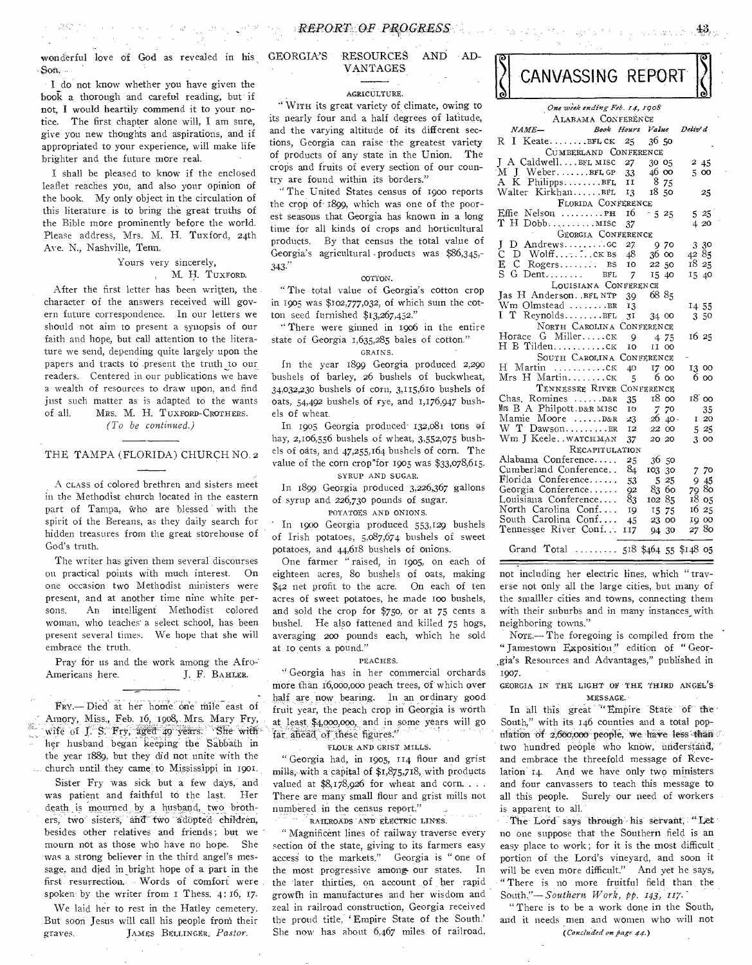wonderful love of God as revealed in his GEORGIA'S RESOURCES AND AD-Son. VANTAGES

 $\alpha$  , and  $\alpha$  , and  $\alpha$ 

-1242-13

 $\label{eq:1} \mathcal{L}_{\mathcal{A}} = \mathcal{L}_{\mathcal{A}} \left( \mathcal{A}^{\mathcal{A}} \right) \mathcal{B}^{\mathcal{B}} \rightarrow \mathcal{C}_{\mathcal{B}} \left( \mathcal{A} \right)$ 

I do not know whether you have given the book a thorough and careful reading, but if not, I would heartily commend it to your notice. The first chapter alone will, I am sure, give you new thoughts and aspirations, and if appropriated to your experience, will make life brighter and the future more real.

I shall be pleased to know if the enclosed leaflet reaches you, and also your opinion of the book. My only object in the circulation of this literature is to bring the great truths of the Bible more prominently before the world. Please address, Mrs. M. H. Tuxford, 24th Ave. N., Nashville, Tenn.

## Yours very sincerely, , M. H. TUXPORD.

After the first letter has been written, the character of the answers received will govern future correspondence. In our letters we should not aim to present a synopsis of our faith and hope, but call attention to the literature we send, depending quite largely upon the papers and tracts to .present the truth to our readers. Centered in our publications we have a wealth of resources to draw upon, and find just such matter as is adapted to the wants of all. MRS. M. H. TUXFORD-CROTHERS. *(To be continued.)* 

### THE TAMPA (FLORIDA) CHURCH NO. 2

A CLASS of colored brethren and sisters meet in the Methodist church located in the eastern part of Tampa, Who are blessed with the spirit of the Bereans, as they daily search for hidden treasures from the great storehouse of God's truth.

The writer has given them several discourses on practical points with much interest. On one occasion two Methodist ministers were present, and at another time nine white persons. An intelligent Methodist colored woman, who teaches' a select school, has been present several times. We hope that she will embrace the truth.

Pray for us and the work among the Afro-Americans here. J. F. BAHLER.

FRY.- Died at her home one mile east of Amory, Miss., Feb. 16; 1908, **Mrs. Mary** Pry, wife of J. S. Fry, aged 49 years. She with her husband began keeping the Sabbath in the year 1889, but they did not unite with the church until they came to Mississippi in 1901.

Sister Fry was sick but a few days, and was patient and faithful to the last. Her death is mourned by a husband, two brothers, two sisters, and two adopted children, besides other relatives and friends; but we mourn not as those who have no hope. She was a strong believer in the third angel's message, and died in bright hope of a part in the first. resurrection., Words of comfort were spoken' by the writer from I Thess. 4: 16, 17.

We laid her to rest in the Hatley cemetery. But soon Jesus will call his people froni their graves. JAMES BELLINGER, *Pastor.* 

### AGRICULTURE.

"WITH its great. variety of climate, owing to its nearly four and a half degrees of latitude, and the varying altitude of its different sections, Georgia can raise the greatest variety of products of any state in the Union. The crops and fruits of every section of our country are found within its borders,"

" The United States census of 1900 reports the crop of .1899, which was one of the poorest seasons that Georgia has known in a long time for all kinds of crops and horticultural products. By that census the total value of Georgia's agricultural -products was \$86,345,- 343."

#### COTTON.

" The total value of Georgia's cotton crop in 1905 was \$102,777,032, of which sum the cotton seed furnished \$13,267,452."

" There were ginned in 1906 in the entire state of Georgia 1,635,285 bales of cotton." GRAINS.

In the year 1899 Georgia produced 2,290 bushels of barley, 26 bushels of buckwheat, 34,032,230 bushels of corn, 3,115,610 bushels of oats,  $54,492$  bushels of rye, and  $1,176,947$  bushels of wheat.

In 1905 Georgia produced 132,081 tons of hay, 2,106,556 bushels of wheat, 3,552,075 bushels of oats, and 47,255,164 bushels of corn. The value of the corn crop"for 1905 was \$33,078,615.

SYRUP AND SUGAR.

In 1899 Georgia produced 3,226,367 gallons of syrup and 226,730 pounds of sugar.

POTATOES AND ONIONS.

" In woo Georgia produced 553,129 bushels of Irish potatoes, 5,087,674 bushels of sweet potatoes, and 44,618 bushels of onions.

One farmer " raised, in 1905, on each of eighteen acres, 8o bushels of oats, making \$42 net profit to the acre. On each of ten acres of sweet potatoes, he made 100 bushels, and sold the crop for \$750, or at 75 cents a bushel. He also fattened and killed 75 hogs, averaging 200 pounds each, which he sold at Io cents a pound."

#### PEACHES.

" Georgia has in her commercial orchards more than 16,000,000 peach trees, of which over half are now bearing. In an ordinary good fruit year, the peach crop in Georgia is worth at least. \$4,000,000, and in some years will go far ahead of these figures."

FLOUR AND GRIST MILLS.

" Georgia had, in 1905, 114 flour and grist mills, with a capital of \$1,875,718,,with products valued at  $$8,178,926$  for wheat and corn.... There are many small flour and grist mills not numbered in the census report."

RAILROADS AND ELECTRIC LINES.

Magnificent lines of railway traverse every section of the state, giving to its farmers easy access to the markets." Georgia is " one of the most progressive among our states. In the later thirties, on account of her rapid growth in manufactures and her wisdom and zeal in railroad construction, Georgia received the proud title, ' Empire State of the South.' She now has about 6,467 miles of railroad,

| CANVASSING REPORT |  |
|-------------------|--|
|                   |  |

 $43<sub>1</sub>$ 

**REVIEWER** 

| One week ending Feb. 14, 1908                    |                |                |               |               |               |  |  |  |  |
|--------------------------------------------------|----------------|----------------|---------------|---------------|---------------|--|--|--|--|
| ALABAMA CONFERENCE                               |                |                |               |               |               |  |  |  |  |
| NAME-<br>Book Hours Value                        |                |                |               | Deliv' d      |               |  |  |  |  |
| RI<br>KeateBFLCK                                 | 25             | 36.50          |               |               |               |  |  |  |  |
| CUMBERLAND CONFERENCE                            |                |                |               |               |               |  |  |  |  |
| J A CaldwellBFL MISC 27                          |                | 30 05          |               |               | 245           |  |  |  |  |
| M J WeberBFLGP 33                                |                | 46 00          |               |               | 5 00          |  |  |  |  |
| A K PhilippsBFL                                  | $\tilde{H}$    |                | 8 75          |               |               |  |  |  |  |
| Walter KirkhanBFL                                | 13             | 1850           |               |               | 25            |  |  |  |  |
| FLORIDA CONFERENCE                               |                |                |               |               |               |  |  |  |  |
| Effie Nelson PH                                  | 16             | $-525$         |               |               | 525           |  |  |  |  |
| $T$ H Dobb $MISE$                                | 37             |                |               |               | 4 20          |  |  |  |  |
| GEORGIA CONFERENCE                               |                |                |               |               |               |  |  |  |  |
| J<br>Ć                                           | 27             |                | 970           |               | 3 30          |  |  |  |  |
|                                                  | 48<br>10       |                | 36 00         | 4285<br>18 25 |               |  |  |  |  |
| $C$ Rogers $BS$<br>E C Rogers BS<br>S G Dent BFL | 7              | 22 50<br>15 40 |               | 15 40         |               |  |  |  |  |
| LOUISIANA CONFERENCE                             |                |                |               |               |               |  |  |  |  |
| Jas H AndersonBFL NTP                            | 39             | 68 85          |               |               |               |  |  |  |  |
| Wm Olmstead BR                                   | 13             |                |               | 14 55         |               |  |  |  |  |
| I T ReynoldsBFL                                  | 3 <sup>T</sup> | 34 00          |               |               | 3 50          |  |  |  |  |
| NORTH CAROLINA CONFERENCE                        |                |                |               |               |               |  |  |  |  |
| Horace G Millerck                                | - 9            |                | 4 75          | 16 25         |               |  |  |  |  |
| H B Tildenck                                     | 10             | II 00          |               |               |               |  |  |  |  |
| SOUTH CAROLINA CONFERENCE                        |                |                |               |               |               |  |  |  |  |
| H Martin ck                                      | 40             |                | 17 00         | 13 00         |               |  |  |  |  |
| Mrs H Martinck                                   | 5              |                | 6 00          |               | 6 оо          |  |  |  |  |
| TENNESSEE RIVER CONFERENCE                       |                |                |               |               |               |  |  |  |  |
| Chas. Romines  D&R                               | 35             | 1800           |               |               | 18 00         |  |  |  |  |
| Mrs B A Philpott. D&R MISC                       | 10             | 7 70           |               |               | 35            |  |  |  |  |
| Mamie Moore D&R                                  | 23             |                | $26\,40$      |               | I 20          |  |  |  |  |
| W T Dawson BR                                    | 12             | 22 00          |               |               | 525           |  |  |  |  |
| Wm J KeelewATCHMAN                               | 37             | 20 20          |               |               | 300           |  |  |  |  |
| RECAPITULATION                                   |                |                |               |               |               |  |  |  |  |
| Alabama Conference                               | 25             |                | 36 50         |               |               |  |  |  |  |
| Cumberland Conference<br>Florida Conference      | 84             | 103 30         |               |               | 7 70          |  |  |  |  |
| Georgia Conference                               | 53             |                | 5 25<br>83 60 |               | 9 45<br>79 80 |  |  |  |  |
| Louisiana Conference                             | 92<br>83       | 10285          |               |               | 18 05         |  |  |  |  |
| North Carolina Conf                              | 19             |                | 15 75         |               | 16 25         |  |  |  |  |
| South Carolina Conf                              | 45             |                | 23 00         |               | 19 00         |  |  |  |  |
| Tennessee River Conf                             | 117            |                | 94 30         |               | 2780          |  |  |  |  |
|                                                  |                |                |               |               |               |  |  |  |  |
| Grand Total  518 \$464 55 \$148 05               |                |                |               |               |               |  |  |  |  |

not including her electric lines, which " traverse not only all the large cities, but many of the smalller cities and towns, connecting them with their suburbs and in many instances with neighboring towns."

NOTE.— The foregoing is compiled from the " Jamestown Exposition" edition of " Geor- ,gia's Resources and Advantages," published in 1907.

#### GEORGIA IN THE LIGHT Of THE THIRD ANGEL'S' MESSAGE.

In all this great ""Empire State of the South," with its 146 counties and a total population of 2,660,000 people, we have less than two hundred people who know, understand, and embrace the threefold message of Revelation 14. And we have only two ministers and four canvassers to teach this message to all this people. Surely our need of workers is apparent to all.

The Lord says through his servant, "Let no one suppose that the Southern field is an easy place to work; for it is the most difficult portion of the Lord's vineyard, and soon it will be even more difficult." And yet he says, " There is no more fruitful field than. the South."-Southern Work, pp. 143, 117.

" There is to be a work done in the South, and it needs men and women who will not *(concluded on fiagt* **44-)**